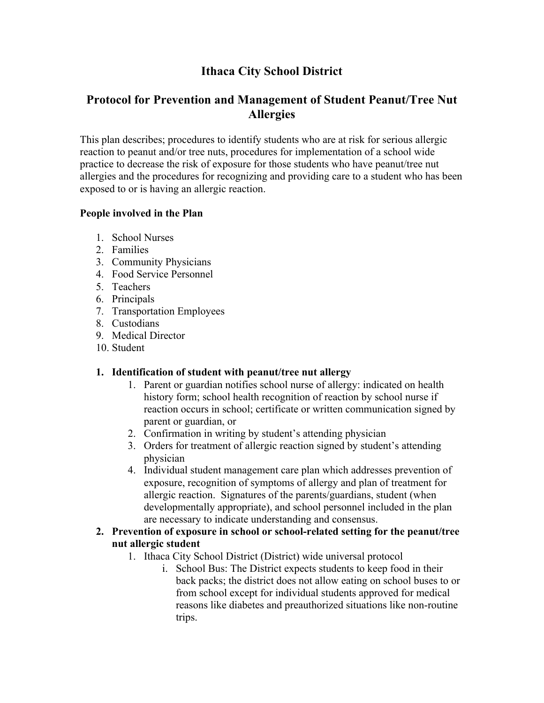# **Ithaca City School District**

## **Protocol for Prevention and Management of Student Peanut/Tree Nut Allergies**

This plan describes; procedures to identify students who are at risk for serious allergic reaction to peanut and/or tree nuts, procedures for implementation of a school wide practice to decrease the risk of exposure for those students who have peanut/tree nut allergies and the procedures for recognizing and providing care to a student who has been exposed to or is having an allergic reaction.

### **People involved in the Plan**

- 1. School Nurses
- 2. Families
- 3. Community Physicians
- 4. Food Service Personnel
- 5. Teachers
- 6. Principals
- 7. Transportation Employees
- 8. Custodians
- 9. Medical Director
- 10. Student

### **1. Identification of student with peanut/tree nut allergy**

- 1. Parent or guardian notifies school nurse of allergy: indicated on health history form; school health recognition of reaction by school nurse if reaction occurs in school; certificate or written communication signed by parent or guardian, or
- 2. Confirmation in writing by student's attending physician
- 3. Orders for treatment of allergic reaction signed by student's attending physician
- 4. Individual student management care plan which addresses prevention of exposure, recognition of symptoms of allergy and plan of treatment for allergic reaction. Signatures of the parents/guardians, student (when developmentally appropriate), and school personnel included in the plan are necessary to indicate understanding and consensus.

### **2. Prevention of exposure in school or school-related setting for the peanut/tree nut allergic student**

- 1. Ithaca City School District (District) wide universal protocol
	- i. School Bus: The District expects students to keep food in their back packs; the district does not allow eating on school buses to or from school except for individual students approved for medical reasons like diabetes and preauthorized situations like non-routine trips.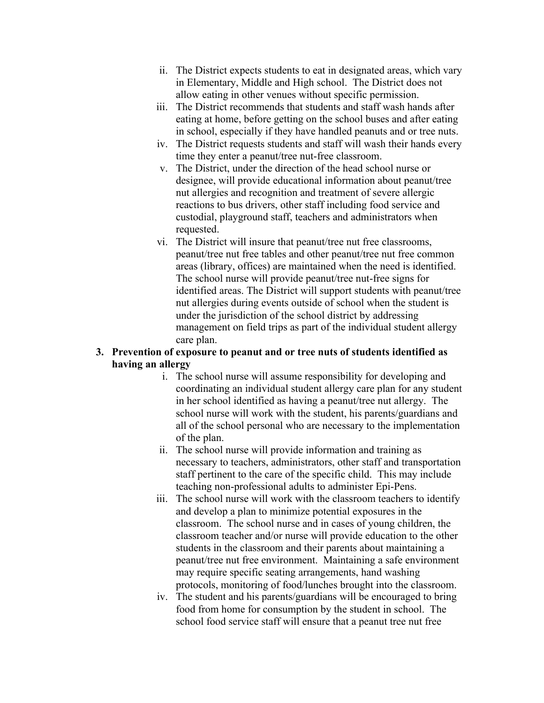- ii. The District expects students to eat in designated areas, which vary in Elementary, Middle and High school. The District does not allow eating in other venues without specific permission.
- iii. The District recommends that students and staff wash hands after eating at home, before getting on the school buses and after eating in school, especially if they have handled peanuts and or tree nuts.
- iv. The District requests students and staff will wash their hands every time they enter a peanut/tree nut-free classroom.
- v. The District, under the direction of the head school nurse or designee, will provide educational information about peanut/tree nut allergies and recognition and treatment of severe allergic reactions to bus drivers, other staff including food service and custodial, playground staff, teachers and administrators when requested.
- vi. The District will insure that peanut/tree nut free classrooms, peanut/tree nut free tables and other peanut/tree nut free common areas (library, offices) are maintained when the need is identified. The school nurse will provide peanut/tree nut-free signs for identified areas. The District will support students with peanut/tree nut allergies during events outside of school when the student is under the jurisdiction of the school district by addressing management on field trips as part of the individual student allergy care plan.

### **3. Prevention of exposure to peanut and or tree nuts of students identified as having an allergy**

- i. The school nurse will assume responsibility for developing and coordinating an individual student allergy care plan for any student in her school identified as having a peanut/tree nut allergy. The school nurse will work with the student, his parents/guardians and all of the school personal who are necessary to the implementation of the plan.
- ii. The school nurse will provide information and training as necessary to teachers, administrators, other staff and transportation staff pertinent to the care of the specific child. This may include teaching non-professional adults to administer Epi-Pens.
- iii. The school nurse will work with the classroom teachers to identify and develop a plan to minimize potential exposures in the classroom. The school nurse and in cases of young children, the classroom teacher and/or nurse will provide education to the other students in the classroom and their parents about maintaining a peanut/tree nut free environment. Maintaining a safe environment may require specific seating arrangements, hand washing protocols, monitoring of food/lunches brought into the classroom.
- iv. The student and his parents/guardians will be encouraged to bring food from home for consumption by the student in school. The school food service staff will ensure that a peanut tree nut free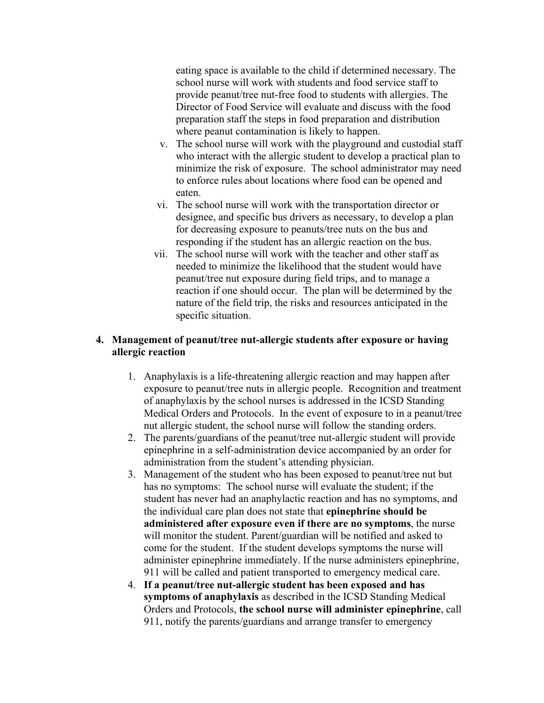eating space is available to the child if determined necessary. The school nurse will work with students and food service staff to provide peanut/tree nut-free food to students with allergies. The Director of Food Service will evaluate and discuss with the food preparation staff the steps in food preparation and distribution where peanut contamination is likely to happen.

- v. The school nurse will work with the playground and custodial staff who interact with the allergic student to develop a practical plan to minimize the risk of exposure. The school administrator may need to enforce rules about locations where food can be opened and eaten.
- vi. The school nurse will work with the transportation director or designee, and specific bus drivers as necessary, to develop a plan for decreasing exposure to peanuts/tree nuts on the bus and responding if the student has an allergic reaction on the bus.
- vii. The school nurse will work with the teacher and other staff as needed to minimize the likelihood that the student would have peanut/tree nut exposure during field trips, and to manage a reaction if one should occur. The plan will be determined by the nature of the field trip, the risks and resources anticipated in the specific situation.

#### **4. Management of peanut/tree nut-allergic students after exposure or having allergic reaction**

- 1. Anaphylaxis is a life-threatening allergic reaction and may happen after exposure to peanut/tree nuts in allergic people. Recognition and treatment of anaphylaxis by the school nurses is addressed in the ICSD Standing Medical Orders and Protocols. In the event of exposure to in a peanut/tree nut allergic student, the school nurse will follow the standing orders.
- 2. The parents/guardians of the peanut/tree nut-allergic student will provide epinephrine in a self-administration device accompanied by an order for administration from the student's attending physician.
- 3. Management of the student who has been exposed to peanut/tree nut but has no symptoms: The school nurse will evaluate the student; if the student has never had an anaphylactic reaction and has no symptoms, and the individual care plan does not state that **epinephrine should be administered after exposure even if there are no symptoms**, the nurse will monitor the student. Parent/guardian will be notified and asked to come for the student. If the student develops symptoms the nurse will administer epinephrine immediately. If the nurse administers epinephrine, 911 will be called and patient transported to emergency medical care.
- 4. **If a peanut/tree nut-allergic student has been exposed and has symptoms of anaphylaxis** as described in the ICSD Standing Medical Orders and Protocols, **the school nurse will administer epinephrine**, call 911, notify the parents/guardians and arrange transfer to emergency